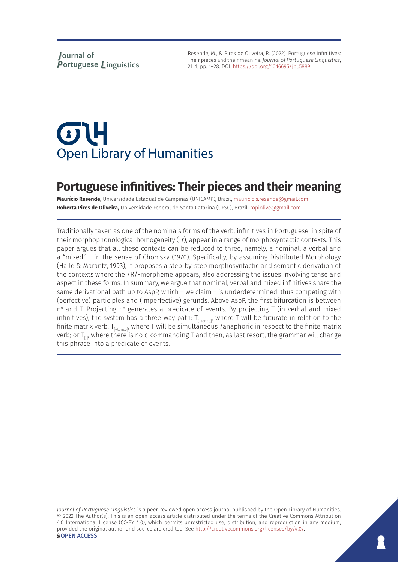Resende, M., & Pires de Oliveira, R. (2022). Portuguese infinitives: Their pieces and their meaning. *Journal of Portuguese Linguistics*, 21: 1, pp. 1–28. DOI:<https://doi.org/10.16695/jpl.5889>

# $\sigma$ U **Open Library of Humanities**

# **Portuguese infinitives: Their pieces and their meaning**

**Maurício Resende,** Universidade Estadual de Campinas (UNICAMP), Brazil, [mauricio.s.resende@gmail.com](mailto:mauricio.s.resende@gmail.com) **Roberta Pires de Oliveira,** Universidade Federal de Santa Catarina (UFSC), Brazil, [ropiolive@gmail.com](mailto:ropiolive@gmail.com)

Traditionally taken as one of the nominals forms of the verb, infinitives in Portuguese, in spite of their morphophonological homogeneity (-*r*), appear in a range of morphosyntactic contexts. This paper argues that all these contexts can be reduced to three, namely, a nominal, a verbal and a "mixed" – in the sense of Chomsky (1970). Specifically, by assuming Distributed Morphology (Halle & Marantz, 1993), it proposes a step-by-step morphosyntactic and semantic derivation of the contexts where the /R/-morpheme appears, also addressing the issues involving tense and aspect in these forms. In summary, we argue that nominal, verbal and mixed infinitives share the same derivational path up to AspP, which – we claim – is underdetermined, thus competing with (perfective) participles and (imperfective) gerunds. Above AspP, the first bifurcation is between  $n^{\circ}$  and T. Projecting  $n^{\circ}$  generates a predicate of events. By projecting T (in verbal and mixed infinitives), the system has a three-way path:  $T_{[ttense]}$ , where T will be futurate in relation to the finite matrix verb;  $T_{[-\text{tense}]}$ , where T will be simultaneous /anaphoric in respect to the finite matrix verb; or  $T_{\text{th}}$ , where there is no c-commanding T and then, as last resort, the grammar will change this phrase into a predicate of events.

*Journal of Portuguese Linguistics* is a peer-reviewed open access journal published by the Open Library of Humanities. © 2022 The Author(s). This is an open-access article distributed under the terms of the Creative Commons Attribution 4.0 International License (CC-BY 4.0), which permits unrestricted use, distribution, and reproduction in any medium, provided the original author and source are credited. See [http://creativecommons.org/licenses/by/4.0/.](http://creativecommons.org/licenses/by/4.0/) *<u>OOPEN</u>* ACCESS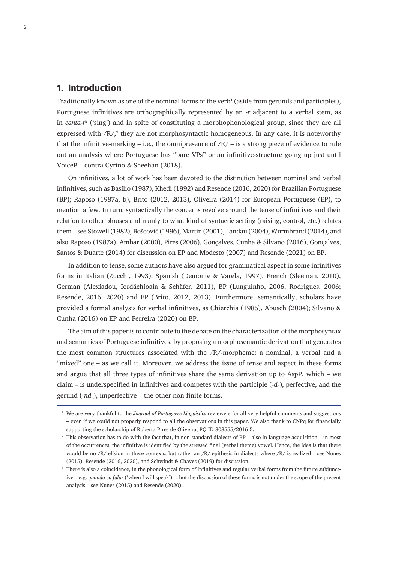### **1. Introduction**

Traditionally known as one of the nominal forms of the verb $^1$  (aside from gerunds and participles), Portuguese infinitives are orthographically represented by an -*r* adjacent to a verbal stem, as in *canta-r*<sup>2</sup> ('sing') and in spite of constituting a morphophonological group, since they are all expressed with  $/R<sub>2</sub>$ <sup>3</sup> they are not morphosyntactic homogeneous. In any case, it is noteworthy that the infinitive-marking – i.e., the omnipresence of  $/R/-$  is a strong piece of evidence to rule out an analysis where Portuguese has "bare VPs" or an infinitive-structure going up just until VoiceP – contra Cyrino & Sheehan (2018).

On infinitives, a lot of work has been devoted to the distinction between nominal and verbal infinitives, such as Basílio (1987), Khedi (1992) and Resende (2016, 2020) for Brazilian Portuguese (BP); Raposo (1987a, b), Brito (2012, 2013), Oliveira (2014) for European Portuguese (EP), to mention a few. In turn, syntactically the concerns revolve around the tense of infinitives and their relation to other phrases and manly to what kind of syntactic setting (raising, control, etc.) relates them – see Stowell (1982), Bošcović (1996), Martin (2001), Landau (2004), Wurmbrand (2014), and also Raposo (1987a), Ambar (2000), Pires (2006), Gonçalves, Cunha & Silvano (2016), Gonçalves, Santos & Duarte (2014) for discussion on EP and Modesto (2007) and Resende (2021) on BP.

In addition to tense, some authors have also argued for grammatical aspect in some infinitives forms in Italian (Zucchi, 1993), Spanish (Demonte & Varela, 1997), French (Sleeman, 2010), German (Alexiadou, Iordăchioaia & Schäfer, 2011), BP (Lunguinho, 2006; Rodrigues, 2006; Resende, 2016, 2020) and EP (Brito, 2012, 2013). Furthermore, semantically, scholars have provided a formal analysis for verbal infinitives, as Chierchia (1985), Abusch (2004); Silvano & Cunha (2016) on EP and Ferreira (2020) on BP.

The aim of this paper is to contribute to the debate on the characterization of the morphosyntax and semantics of Portuguese infinitives, by proposing a morphosemantic derivation that generates the most common structures associated with the  $/R$ -morpheme: a nominal, a verbal and a "mixed" one – as we call it. Moreover, we address the issue of tense and aspect in these forms and argue that all three types of infinitives share the same derivation up to AspP, which – we claim – is underspecified in infinitives and competes with the participle (-*d*-), perfective, and the gerund (-*nd*-), imperfective – the other non-finite forms.

<sup>1</sup> We are very thankful to the *Journal of Portuguese Linguistics* reviewers for all very helpful comments and suggestions – even if we could not properly respond to all the observations in this paper. We also thank to CNPq for financially supporting the scholarship of Roberta Pires de Oliveira, PQ-ID 303555/2016-5.

<sup>2</sup> This observation has to do with the fact that, in non-standard dialects of BP – also in language acquisition – in most of the occurrences, the infinitive is identified by the stressed final (verbal theme) vowel. Hence, the idea is that there would be no /R/-elision in these contexts, but rather an /R/-epithesis in dialects where /R/ is realized – see Nunes (2015), Resende (2016, 2020), and Schwindt & Chaves (2019) for discussion.

<sup>&</sup>lt;sup>3</sup> There is also a coincidence, in the phonological form of infinitives and regular verbal forms from the future subjunctive – e.g. *quando eu falar* ('when I will speak') –, but the discussion of these forms is not under the scope of the present analysis – see Nunes (2015) and Resende (2020).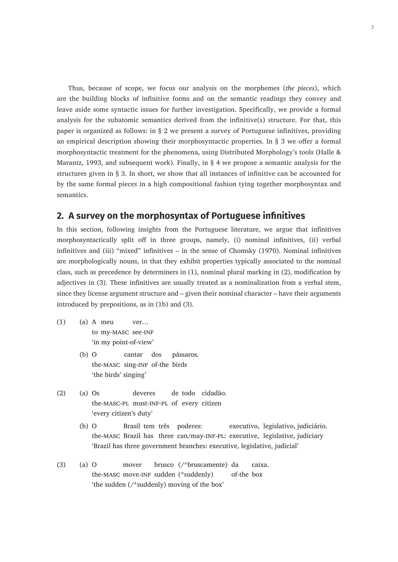Thus, because of scope, we focus our analysis on the morphemes (*the pieces*), which are the building blocks of infinitive forms and on the semantic readings they convey and leave aside some syntactic issues for further investigation. Specifically, we provide a formal analysis for the subatomic semantics derived from the infinitive(s) structure. For that, this paper is organized as follows: in § 2 we present a survey of Portuguese infinitives, providing an empirical description showing their morphosyntactic properties. In § 3 we offer a formal morphosyntactic treatment for the phenomena, using Distributed Morphology's tools (Halle & Marantz, 1993, and subsequent work). Finally, in  $\S$  4 we propose a semantic analysis for the structures given in § 3. In short, we show that all instances of infinitive can be accounted for by the same formal pieces in a high compositional fashion tying together morphosyntax and semantics.

#### **2. A survey on the morphosyntax of Portuguese infinitives**

In this section, following insights from the Portuguese literature, we argue that infinitives morphosyntactically split off in three groups, namely, (i) nominal infinitives, (ii) verbal infinitives and (iii) "mixed" infinitives – in the sense of Chomsky (1970). Nominal infinitives are morphologically nouns, in that they exhibit properties typically associated to the nominal class, such as precedence by determiners in (1), nominal plural marking in (2), modification by adjectives in (3). These infinitives are usually treated as a nominalization from a verbal stem, since they license argument structure and – given their nominal character – have their arguments introduced by prepositions, as in (1b) and (3).

- (1) (a) A meu ver… to my-MASC see-INF 'in my point-of-view'
	- (b) O cantar dos pássaros. the-masc sing-inf of-the birds 'the birds' singing'
- (2) (a) Os deveres de todo cidadão. the-masc-pl must-inf-pl of every citizen 'every citizen's duty'
	- (b) O Brasil tem três poderes: executivo, legislativo, judiciário. the-masc Brazil has three can/may-inf-pl: executive, legislative, judiciary 'Brazil has three government branches: executive, legislative, judicial'
- (3) (a) O mover brusco (/\*bruscamente) da caixa. the-masc move-inf sudden (\*suddenly) of-the box 'the sudden (/\*suddenly) moving of the box'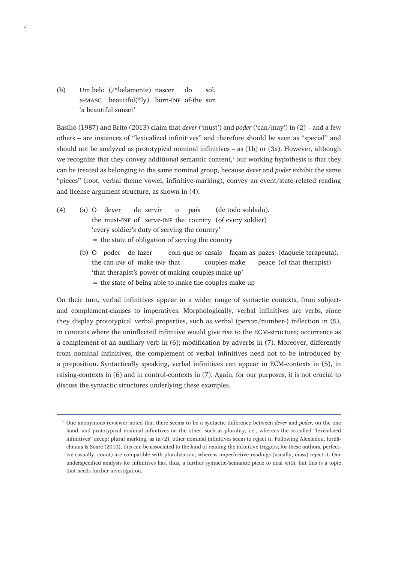(b) Um belo (/\*belamente) nascer do sol. a-masc beautiful(\*ly) born-inf of-the sun 'a beautiful sunset'

Basílio (1987) and Brito (2013) claim that *dever* ('must') and *poder* ('can/may') in (2) – and a few others – are instances of "lexicalized infinitives" and therefore should be seen as "special" and should not be analyzed as prototypical nominal infinitives – as (1b) or (3a). However, although we recognize that they convey additional semantic content,<sup>4</sup> our working hypothesis is that they can be treated as belonging to the same nominal group, because *dever* and *poder* exhibit the same "pieces" (root, verbal theme vowel, infinitive-marking), convey an event/state-related reading and license argument structure, as shown in (4).

- (4) (a) O dever de servir o país (de todo soldado). the must-INF of serve-INF the country (of every soldier) 'every soldier's duty of serving the country' = the state of obligation of serving the country
	- (b) O poder de fazer com que os casais façam as pazes (daquele terapeuta). the can-INF of make-INF that couples make peace (of that therapist) 'that therapist's power of making couples make up'  $=$  the state of being able to make the couples make up

On their turn, verbal infinitives appear in a wider range of syntactic contexts, from subjectand complement-clauses to imperatives. Morphologically, verbal infinitives are verbs, since they display prototypical verbal properties, such as verbal (person/number-) inflection in (5), in contexts where the uninflected infinitive would give rise to the ECM-structure; occurrence as a complement of an auxiliary verb in (6); modification by adverbs in (7). Moreover, differently from nominal infinitives, the complement of verbal infinitives need not to be introduced by a preposition. Syntactically speaking, verbal infinitives can appear in ECM-contexts in (5), in raising-contexts in (6) and in control-contexts in (7). Again, for our purposes, it is not crucial to discuss the syntactic structures underlying these examples.

4

<sup>4</sup> One anonymous reviewer noted that there seems to be a syntactic difference between *dever* and *poder*, on the one hand, and prototypical nominal infinitives on the other, such as plurality, i.e., whereas the so-called "lexicalized infinitives" accept plural marking, as in (2), other nominal infinitives seem to reject it. Following Alexiadou, Iordăchioaia & Soare (2010), this can be associated to the kind of reading the infinitive triggers; for these authors, perfective (usually, count) are compatible with pluralization, whereas imperfective readings (usually, mass) reject it. Our underspecified analysis for infinitives has, thus, a further syntactic/semantic piece to deal with, but this is a topic that needs further investigation.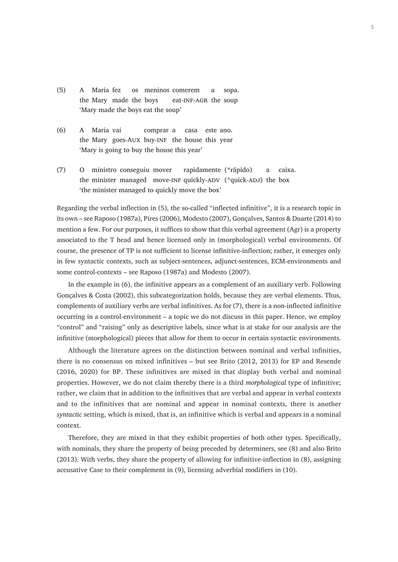- (5) A Maria fez os meninos comerem a sopa. the Mary made the boys eat-INF-AGR the soup 'Mary made the boys eat the soup'
- (6) A Maria vai comprar a casa este ano. the Mary goes-Aux buy-inf the house this year 'Mary is going to buy the house this year'
- (7) O ministro conseguiu mover rapidamente (\*rápido) a caixa. the minister managed move-INF quickly-ADV (\*quick-ADJ) the box 'the minister managed to quickly move the box'

Regarding the verbal inflection in (5), the so-called "inflected infinitive", it is a research topic in its own – see Raposo (1987a), Pires (2006), Modesto (2007), Gonçalves, Santos & Duarte (2014) to mention a few. For our purposes, it suffices to show that this verbal agreement (Agr) is a property associated to the T head and hence licensed only in (morphological) verbal environments. Of course, the presence of TP is not sufficient to license infinitive-inflection; rather, it emerges only in few syntactic contexts, such as subject-sentences, adjunct-sentences, ECM-environments and some control-contexts – see Raposo (1987a) and Modesto (2007).

In the example in (6), the infinitive appears as a complement of an auxiliary verb. Following Gonçalves & Costa (2002), this subcategorization holds, because they are verbal elements. Thus, complements of auxiliary verbs are verbal infinitives. As for (7), there is a non-inflected infinitive occurring in a control-environment – a topic we do not discuss in this paper. Hence, we employ "control" and "raising" only as descriptive labels, since what is at stake for our analysis are the infinitive (morphological) pieces that allow for them to occur in certain syntactic environments.

Although the literature agrees on the distinction between nominal and verbal infinities, there is no consensus on mixed infinitives – but see Brito (2012, 2013) for EP and Resende (2016, 2020) for BP. These infinitives are mixed in that display both verbal and nominal properties. However, we do not claim thereby there is a third *morphological* type of infinitive; rather, we claim that in addition to the infinitives that are verbal and appear in verbal contexts and to the infinitives that are nominal and appear in nominal contexts, there is another *syntactic* setting, which is mixed, that is, an infinitive which is verbal and appears in a nominal context.

Therefore, they are mixed in that they exhibit properties of both other types. Specifically, with nominals, they share the property of being preceded by determiners, see (8) and also Brito (2013). With verbs, they share the property of allowing for infinitive-inflection in (8), assigning accusative Case to their complement in (9), licensing adverbial modifiers in (10).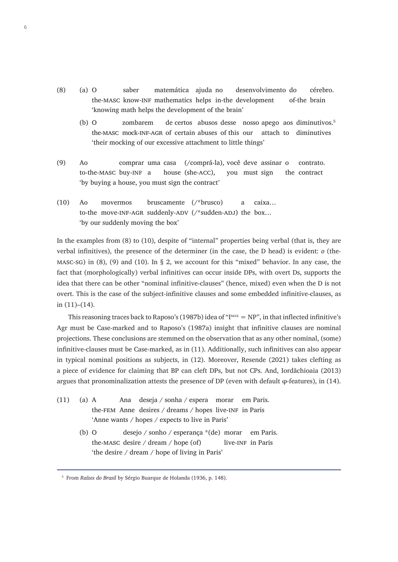- (8) (a) O saber matemática ajuda no desenvolvimento do cérebro. the-masc know-inf mathematics helps in-the development of-the brain 'knowing math helps the development of the brain'
	- (b) O zombarem de certos abusos desse nosso apego aos diminutivos.<sup>5</sup> the-masc mock-inf-agr of certain abuses of this our attach to diminutives 'their mocking of our excessive attachment to little things'
- (9) Ao comprar uma casa (/comprá-la), você deve assinar o contrato. to-the-masc buy-inf a house (she-acc), you must sign the contract 'by buying a house, you must sign the contract'
- (10) Ao movermos bruscamente (/\*brusco) a caixa… to-the move-INF-AGR suddenly-ADV (/\*sudden-ADJ) the box... 'by our suddenly moving the box'

In the examples from (8) to (10), despite of "internal" properties being verbal (that is, they are verbal infinitives), the presence of the determiner (in the case, the D head) is evident: *o* (the-MASC-SG) in  $(8)$ ,  $(9)$  and  $(10)$ . In  $\S$  2, we account for this "mixed" behavior. In any case, the fact that (morphologically) verbal infinitives can occur inside DPs, with overt Ds, supports the idea that there can be other "nominal infinitive-clauses" (hence, mixed) even when the D is not overt. This is the case of the subject-infinitive clauses and some embedded infinitive-clauses, as in  $(11)–(14)$ .

This reasoning traces back to Raposo's (1987b) idea of " $I^{MAX} = NP$ ", in that inflected infinitive's Agr must be Case-marked and to Raposo's (1987a) insight that infinitive clauses are nominal projections. These conclusions are stemmed on the observation that as any other nominal, (some) infinitive-clauses must be Case-marked, as in (11). Additionally, such infinitives can also appear in typical nominal positions as subjects, in (12). Moreover, Resende (2021) takes clefting as a piece of evidence for claiming that BP can cleft DPs, but not CPs. And, Iordăchioaia (2013) argues that pronominalization attests the presence of DP (even with default φ-features), in (14).

- (11) (a) A Ana deseja / sonha / espera morar em Paris. the-FEM Anne desires  $/$  dreams  $/$  hopes live-INF in Paris 'Anne wants / hopes / expects to live in Paris'
	- (b) O desejo / sonho / esperança \*(de) morar em Paris. the-MASC desire  $/$  dream  $/$  hope (of) live-INF in Paris 'the desire / dream / hope of living in Paris'

<sup>5</sup> From *Raízes do Brasil* by Sérgio Buarque de Holanda (1936, p. 148).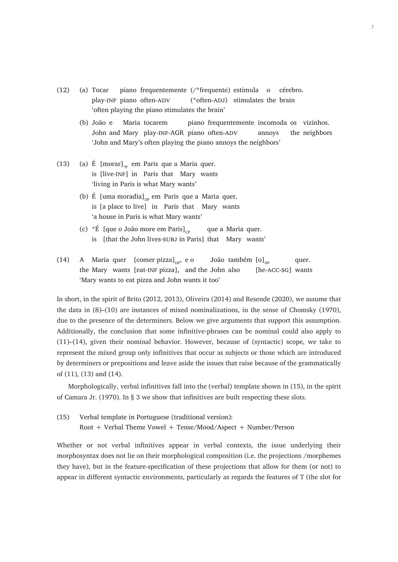- (12) (a) Tocar piano frequentemente (/\*frequente) estimula o cérebro. play-INF piano often-ADV (\*often-ADJ) stimulates the brain 'often playing the piano stimulates the brain'
	- (b) João e Maria tocarem piano frequentemente incomoda os vizinhos. John and Mary play-INF-AGR piano often-ADV annoys the neighbors 'John and Mary's often playing the piano annoys the neighbors'
- (13) (a) É  $[morar]_{\gamma_{\rm p}}$  em Paris que a Maria quer. is [live-inf] in Paris that Mary wants 'living in Paris is what Mary wants'
	- (b) É [uma moradia] $_{\text{DP}}$  em Paris que a Maria quer. is [a place to live] in Paris that Mary wants 'a house in Paris is what Mary wants'
	- (c)  $*$ É [que o João more em Paris]<sub>cp</sub> que a Maria quer. is [that the John lives-subj in Paris] that Mary wants'
- (14) A Maria quer [comer pizza]<sub>np</sub>, e o João também  $[0]_{\text{np}}$  quer. the Mary wants [eat-INF pizza], and the John also [he-ACC-SG] wants 'Mary wants to eat pizza and John wants it too'

In short, in the spirit of Brito (2012, 2013), Oliveira (2014) and Resende (2020), we assume that the data in (8)–(10) are instances of mixed nominalizations, in the sense of Chomsky (1970), due to the presence of the determiners. Below we give arguments that support this assumption. Additionally, the conclusion that some infinitive-phrases can be nominal could also apply to (11)–(14), given their nominal behavior. However, because of (syntactic) scope, we take to represent the mixed group only infinitives that occur as subjects or those which are introduced by determiners or prepositions and leave aside the issues that raise because of the grammatically of (11), (13) and (14).

Morphologically, verbal infinitives fall into the (verbal) template shown in (15), in the spirit of Camara Jr. (1970). In § 3 we show that infinitives are built respecting these slots.

(15) Verbal template in Portuguese (traditional version): Root + Verbal Theme Vowel + Tense/Mood/Aspect + Number/Person

Whether or not verbal infinitives appear in verbal contexts, the issue underlying their morphosyntax does not lie on their morphological composition (i.e. the projections /morphemes they have), but in the feature-specification of these projections that allow for them (or not) to appear in different syntactic environments, particularly as regards the features of T (the slot for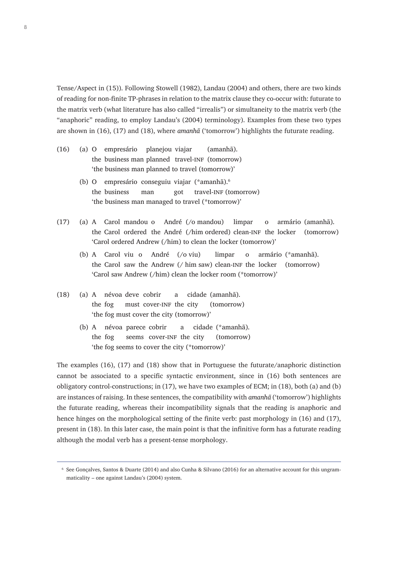Tense/Aspect in (15)). Following Stowell (1982), Landau (2004) and others, there are two kinds of reading for non-finite TP-phrases in relation to the matrix clause they co-occur with: futurate to the matrix verb (what literature has also called "irrealis") or simultaneity to the matrix verb (the "anaphoric" reading, to employ Landau's (2004) terminology). Examples from these two types are shown in (16), (17) and (18), where *amanhã* ('tomorrow') highlights the futurate reading.<sup>6</sup>

- (16) (a) O empresário planejou viajar (amanhã). the business man planned travel-INF (tomorrow) 'the business man planned to travel (tomorrow)'
	- (b) O empresário conseguiu viajar (\*amanhã).<sup>6</sup> the business man got travel-INF (tomorrow) 'the business man managed to travel (\*tomorrow)'
- (17) (a) A Carol mandou o André (/o mandou) limpar o armário (amanhã). the Carol ordered the André (/him ordered) clean-inf the locker (tomorrow) 'Carol ordered Andrew (/him) to clean the locker (tomorrow)'
	- (b) A Carol viu o André (/o viu) limpar o armário (\*amanhã). the Carol saw the Andrew  $//$  him saw) clean-INF the locker (tomorrow) 'Carol saw Andrew (/him) clean the locker room (\*tomorrow)'
- (18) (a) A névoa deve cobrir a cidade (amanhã). the fog must cover-INF the city (tomorrow) 'the fog must cover the city (tomorrow)'
	- (b) A névoa parece cobrir a cidade (\*amanhã). the fog seems cover-inf the city (tomorrow) 'the fog seems to cover the city (\*tomorrow)'

The examples (16), (17) and (18) show that in Portuguese the futurate/anaphoric distinction cannot be associated to a specific syntactic environment, since in (16) both sentences are obligatory control-constructions; in (17), we have two examples of ECM; in (18), both (a) and (b) are instances of raising. In these sentences, the compatibility with *amanhã* ('tomorrow') highlights the futurate reading, whereas their incompatibility signals that the reading is anaphoric and hence hinges on the morphological setting of the finite verb: past morphology in (16) and (17), present in (18). In this later case, the main point is that the infinitive form has a futurate reading although the modal verb has a present-tense morphology.

<sup>6</sup> See Gonçalves, Santos & Duarte (2014) and also Cunha & Silvano (2016) for an alternative account for this ungrammaticality – one against Landau's (2004) system.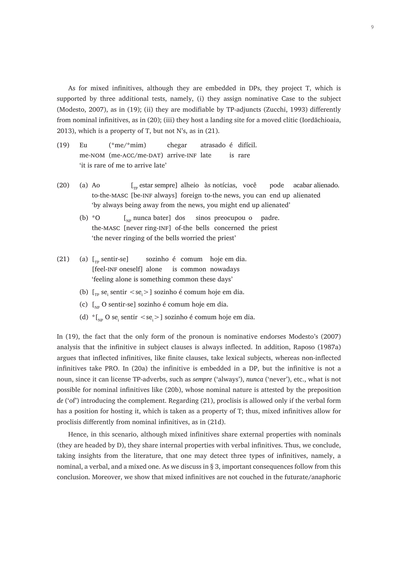As for mixed infinitives, although they are embedded in DPs, they project T, which is supported by three additional tests, namely, (i) they assign nominative Case to the subject (Modesto, 2007), as in (19); (ii) they are modifiable by TP-adjuncts (Zucchi, 1993) differently from nominal infinitives, as in (20); (iii) they host a landing site for a moved clitic (Iordăchioaia, 2013), which is a property of T, but not N's, as in (21).

- (19) Eu (\*me/\*mim) chegar atrasado é difícil. me-NOM (me-ACC/me-DAT) arrive-INF late is rare 'it is rare of me to arrive late'
- (20) (a) Ao  $\left[\begin{matrix}T_p \text{ estar sempre}\end{matrix}\right]$  alheio às notícias, você pode acabar alienado. to-the-masc [be-inf always] foreign to-the news, you can end up alienated 'by always being away from the news, you might end up alienated'
	- (b)  $*$ O [<sub>NP</sub> nunca bater] dos sinos preocupou o padre. the-masc [never ring-inf] of-the bells concerned the priest 'the never ringing of the bells worried the priest'
- (21) (a)  $\lbrack_{\rm Tp}$  sentir-se] sozinho é comum hoje em dia. [feel-INF oneself] alone is common nowadays 'feeling alone is something common these days'
	- (b)  $\left[ \begin{smallmatrix} 1 \\ T_P \end{smallmatrix} \right]$  sentir  $\langle \text{se}_i \rangle$  sozinho é comum hoje em dia.
	- (c)  $\left[\begin{smallmatrix} 0 & \text{N} \\ \text{N} & \text{N} \end{smallmatrix}\right]$  sozinho é comum hoje em dia.
	- (d)  ${}^{\ast}$ [<sub>NP</sub> O se<sub>i</sub> sentir <se<sub>i</sub>>] sozinho é comum hoje em dia.

In (19), the fact that the only form of the pronoun is nominative endorses Modesto's (2007) analysis that the infinitive in subject clauses is always inflected. In addition, Raposo (1987a) argues that inflected infinitives, like finite clauses, take lexical subjects, whereas non-inflected infinitives take PRO. In (20a) the infinitive is embedded in a DP, but the infinitive is not a noun, since it can license TP-adverbs, such as *sempre* ('always'), *nunca* ('never'), etc., what is not possible for nominal infinitives like (20b), whose nominal nature is attested by the preposition *de* ('of') introducing the complement. Regarding (21), proclisis is allowed only if the verbal form has a position for hosting it, which is taken as a property of T; thus, mixed infinitives allow for proclisis differently from nominal infinitives, as in (21d).

Hence, in this scenario, although mixed infinitives share external properties with nominals (they are headed by D), they share internal properties with verbal infinitives. Thus, we conclude, taking insights from the literature, that one may detect three types of infinitives, namely, a nominal, a verbal, and a mixed one. As we discuss in § 3, important consequences follow from this conclusion. Moreover, we show that mixed infinitives are not couched in the futurate/anaphoric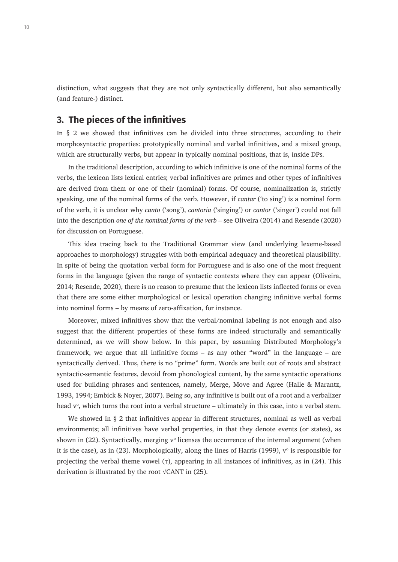distinction, what suggests that they are not only syntactically different, but also semantically (and feature-) distinct.

#### **3. The pieces of the infinitives**

In § 2 we showed that infinitives can be divided into three structures, according to their morphosyntactic properties: prototypically nominal and verbal infinitives, and a mixed group, which are structurally verbs, but appear in typically nominal positions, that is, inside DPs.

In the traditional description, according to which infinitive is one of the nominal forms of the verbs, the lexicon lists lexical entries; verbal infinitives are primes and other types of infinitives are derived from them or one of their (nominal) forms. Of course, nominalization is, strictly speaking, one of the nominal forms of the verb. However, if *cantar* ('to sing') is a nominal form of the verb, it is unclear why *canto* ('song'), *cantoria* ('singing') or *cantor* ('singer') could not fall into the description *one of the nominal forms of the verb* – see Oliveira (2014) and Resende (2020) for discussion on Portuguese.

This idea tracing back to the Traditional Grammar view (and underlying lexeme-based approaches to morphology) struggles with both empirical adequacy and theoretical plausibility. In spite of being the quotation verbal form for Portuguese and is also one of the most frequent forms in the language (given the range of syntactic contexts where they can appear (Oliveira, 2014; Resende, 2020), there is no reason to presume that the lexicon lists inflected forms or even that there are some either morphological or lexical operation changing infinitive verbal forms into nominal forms – by means of zero-affixation, for instance.

Moreover, mixed infinitives show that the verbal/nominal labeling is not enough and also suggest that the different properties of these forms are indeed structurally and semantically determined, as we will show below. In this paper, by assuming Distributed Morphology's framework, we argue that all infinitive forms – as any other "word" in the language – are syntactically derived. Thus, there is no "prime" form. Words are built out of roots and abstract syntactic-semantic features, devoid from phonological content, by the same syntactic operations used for building phrases and sentences, namely, Merge, Move and Agree (Halle & Marantz, 1993, 1994; Embick & Noyer, 2007). Being so, any infinitive is built out of a root and a verbalizer head  $v^{\mathrm{o}}$ , which turns the root into a verbal structure – ultimately in this case, into a verbal stem.

We showed in § 2 that infinitives appear in different structures, nominal as well as verbal environments; all infinitives have verbal properties, in that they denote events (or states), as shown in (22). Syntactically, merging  $v^{\circ}$  licenses the occurrence of the internal argument (when it is the case), as in (23). Morphologically, along the lines of Harris (1999),  $v^{\circ}$  is responsible for projecting the verbal theme vowel  $(\tau)$ , appearing in all instances of infinitives, as in (24). This derivation is illustrated by the root √CANT in (25).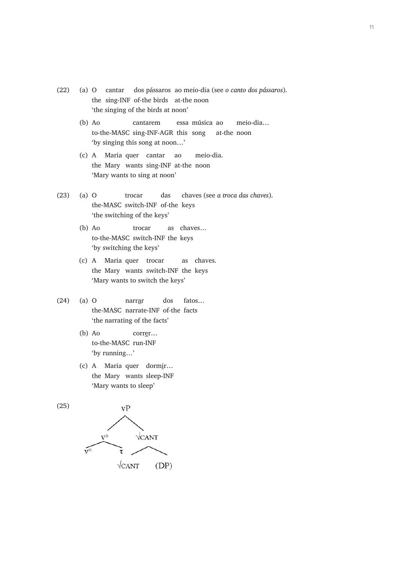- (22) (a) O cantar dos pássaros ao meio-dia (see *o canto dos pássaros*). the sing-INF of-the birds at-the noon 'the singing of the birds at noon'
	- (b) Ao cantarem essa música ao meio-dia… to-the-MASC sing-INF-AGR this song at-the noon 'by singing this song at noon…'
	- (c) A Maria quer cantar ao meio-dia. the Mary wants sing-INF at-the noon 'Mary wants to sing at noon'
- (23) (a) O trocar das chaves (see *a troca das chaves*). the-MASC switch-INF of-the keys 'the switching of the keys'
	- (b) Ao trocar as chaves… to-the-MASC switch-INF the keys 'by switching the keys'
	- (c) A Maria quer trocar as chaves. the Mary wants switch-INF the keys 'Mary wants to switch the keys'
- (24) (a) O narrar dos fatos… the-MASC narrate-INF of-the facts 'the narrating of the facts'
	- (b) Ao correr… to-the-MASC run-INF 'by running…'
	- (c) A Maria quer dormir… the Mary wants sleep-INF 'Mary wants to sleep'

(25)

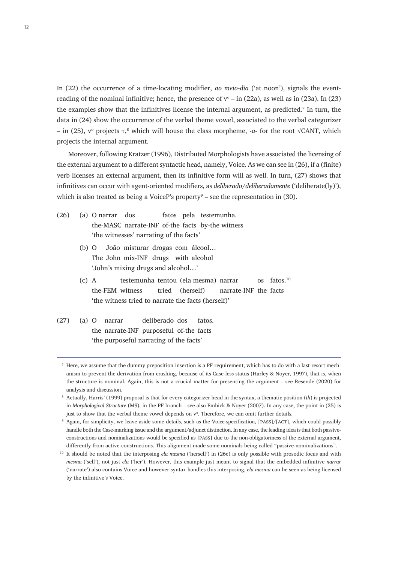In (22) the occurrence of a time-locating modifier, *ao meio-dia* ('at noon'), signals the eventreading of the nominal infinitive; hence, the presence of  $v^{\circ}$  – in (22a), as well as in (23a). In (23) the examples show that the infinitives license the internal argument, as predicted.<sup>7</sup> In turn, the data in (24) show the occurrence of the verbal theme vowel, associated to the verbal categorizer  $-$  in (25),  $ν<sup>o</sup>$  projects τ,<sup>8</sup> which will house the class morpheme,  $-a$ - for the root √CANT, which projects the internal argument.

Moreover, following Kratzer (1996), Distributed Morphologists have associated the licensing of the external argument to a different syntactic head, namely, Voice. As we can see in (26), if a (finite) verb licenses an external argument, then its infinitive form will as well. In turn, (27) shows that infinitives can occur with agent-oriented modifiers, as *deliberado*/*deliberadamente* ('deliberate(ly)'), which is also treated as being a VoiceP's property $^9$  – see the representation in (30).

- (26) (a) O narrar dos fatos pela testemunha. the-MASC narrate-INF of-the facts by-the witness 'the witnesses' narrating of the facts'
	- (b) O João misturar drogas com álcool… The John mix-INF drugs with alcohol 'John's mixing drugs and alcohol…'
	- (c) A testemunha tentou (ela mesma) narrar os fatos.<sup>10</sup> the-FEM witness tried (herself) narrate-INF the facts 'the witness tried to narrate the facts (herself)'
- (27) (a) O narrar deliberado dos fatos. the narrate-INF purposeful of-the facts 'the purposeful narrating of the facts'

 $<sup>7</sup>$  Here, we assume that the dummy preposition-insertion is a PF-requirement, which has to do with a last-resort mech-</sup> anism to prevent the derivation from crashing, because of its Case-less status (Harley & Noyer, 1997), that is, when the structure is nominal. Again, this is not a crucial matter for presenting the argument – see Resende (2020) for analysis and discussion.

<sup>8</sup> Actually, Harris' (1999) proposal is that for every categorizer head in the syntax, a thematic position (*th*) is projected in *Morphological Structure* (MS), in the PF-branch – see also Embick & Noyer (2007). In any case, the point in (25) is just to show that the verbal theme vowel depends on  $v^\circ$ . Therefore, we can omit further details.

<sup>&</sup>lt;sup>9</sup> Again, for simplicity, we leave aside some details, such as the Voice-specification, [PASS]/[ACT], which could possibly handle both the Case-marking issue and the argument/adjunct distinction. In any case, the leading idea is that both passiveconstructions and nominalizations would be specified as [pass] due to the non-obligatoriness of the external argument, differently from active-constructions. This alignment made some nominals being called "passive-nominalizations".

<sup>10</sup> It should be noted that the interposing *ela mesma* ('herself') in (26c) is only possible with prosodic focus and with *mesma* ('self'), not just *ela* ('her'). However, this example just meant to signal that the embedded infinitive *narrar* ('narrate') also contains Voice and however syntax handles this interposing, *ela mesma* can be seen as being licensed by the infinitive's Voice.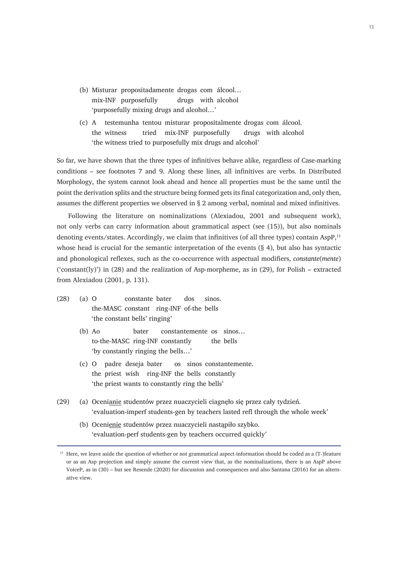- (b) Misturar propositadamente drogas com álcool… mix-INF purposefully drugs with alcohol 'purposefully mixing drugs and alcohol…'
- (c) A testemunha tentou misturar propositalmente drogas com álcool. the witness tried mix-INF purposefully drugs with alcohol 'the witness tried to purposefully mix drugs and alcohol'

So far, we have shown that the three types of infinitives behave alike, regardless of Case-marking conditions – see footnotes 7 and 9. Along these lines, all infinitives are verbs. In Distributed Morphology, the system cannot look ahead and hence all properties must be the same until the point the derivation splits and the structure being formed gets its final categorization and, only then, assumes the different properties we observed in § 2 among verbal, nominal and mixed infinitives.

Following the literature on nominalizations (Alexiadou, 2001 and subsequent work), not only verbs can carry information about grammatical aspect (see (15)), but also nominals denoting events/states. Accordingly, we claim that infinitives (of all three types) contain AspP,<sup>11</sup> whose head is crucial for the semantic interpretation of the events  $(\S 4)$ , but also has syntactic and phonological reflexes, such as the co-occurrence with aspectual modifiers, *constante*(*mente*) ('constant(ly)') in (28) and the realization of Asp-morpheme, as in (29), for Polish – extracted from Alexiadou (2001, p. 131).

- (28) (a) O constante bater dos sinos. the-MASC constant ring-INF of-the bells 'the constant bells' ringing'
	- (b) Ao bater constantemente os sinos… to-the-MASC ring-INF constantly the bells 'by constantly ringing the bells…'
	- (c) O padre deseja bater os sinos constantemente. the priest wish ring-INF the bells constantly 'the priest wants to constantly ring the bells'
- (29) (a) Ocenianie studentów przez nuaczycieli ciagnęło się przez cały tydzień. 'evaluation-imperf students-gen by teachers lasted refl through the whole week'
	- (b) Ocenienie studentów przez nuaczycieli nastąpiło szybko. 'evaluation-perf students-gen by teachers occurred quickly'

 $11$  Here, we leave aside the question of whether or not grammatical aspect-information should be coded as a (T-)feature or as an Asp projection and simply assume the current view that, as the nominalizations, there is an AspP above VoiceP, as in (30) – but see Resende (2020) for discussion and consequences and also Santana (2016) for an alternative view.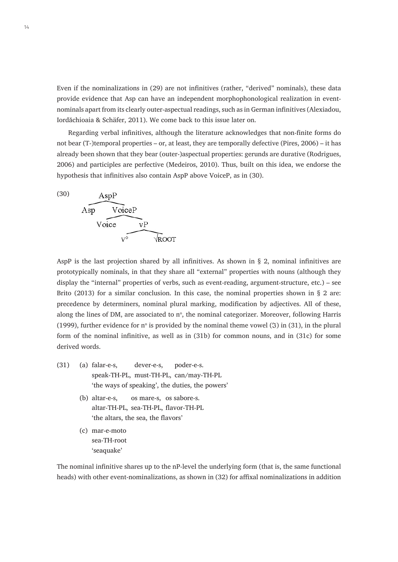Even if the nominalizations in (29) are not infinitives (rather, "derived" nominals), these data provide evidence that Asp can have an independent morphophonological realization in eventnominals apart from its clearly outer-aspectual readings, such as in German infinitives (Alexiadou, Iordăchioaia & Schäfer, 2011). We come back to this issue later on.

Regarding verbal infinitives, although the literature acknowledges that non-finite forms do not bear (T-)temporal properties – or, at least, they are temporally defective (Pires, 2006) – it has already been shown that they bear (outer-)aspectual properties: gerunds are durative (Rodrigues, 2006) and participles are perfective (Medeiros, 2010). Thus, built on this idea, we endorse the hypothesis that infinitives also contain AspP above VoiceP, as in (30).



AspP is the last projection shared by all infinitives. As shown in  $\S$  2, nominal infinitives are prototypically nominals, in that they share all "external" properties with nouns (although they display the "internal" properties of verbs, such as event-reading, argument-structure, etc.) – see Brito (2013) for a similar conclusion. In this case, the nominal properties shown in  $\S$  2 are: precedence by determiners, nominal plural marking, modification by adjectives. All of these, along the lines of DM, are associated to  $n^{\circ}$ , the nominal categorizer. Moreover, following Harris (1999), further evidence for n<sup>o</sup> is provided by the nominal theme vowel ( $\mathfrak{I}$ ) in (31), in the plural form of the nominal infinitive, as well as in (31b) for common nouns, and in (31c) for some derived words.

- (31) (a) falar-e-s, dever-e-s, poder-e-s. speak-TH-PL, must-TH-PL, can/may-TH-PL 'the ways of speaking', the duties, the powers'
	- (b) altar-e-s, os mare-s, os sabore-s. altar-TH-PL, sea-TH-PL, flavor-TH-PL 'the altars, the sea, the flavors'
	- (c) mar-e-moto sea-TH-root 'seaquake'

The nominal infinitive shares up to the nP-level the underlying form (that is, the same functional heads) with other event-nominalizations, as shown in (32) for affixal nominalizations in addition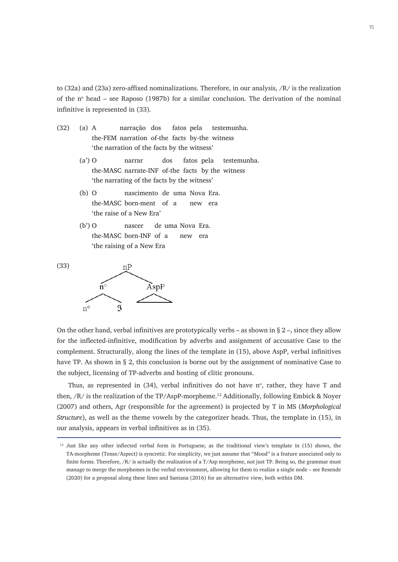to (32a) and (23a) zero-affixed nominalizations. Therefore, in our analysis, /R/ is the realization of the  $n^{\circ}$  head – see Raposo (1987b) for a similar conclusion. The derivation of the nominal infinitive is represented in (33).

- (32) (a) A narração dos fatos pela testemunha. the-FEM narration of-the facts by-the witness 'the narration of the facts by the witness'
	- (a') O narrar dos fatos pela testemunha. the-MASC narrate-INF of-the facts by the witness 'the narrating of the facts by the witness'
	- (b) O nascimento de uma Nova Era. the-MASC born-ment of a new era 'the raise of a New Era'
	- (b') O nascer de uma Nova Era. the-MASC born-INF of a new era 'the raising of a New Era





On the other hand, verbal infinitives are prototypically verbs – as shown in  $\S 2$  –, since they allow for the inflected-infinitive, modification by adverbs and assignment of accusative Case to the complement. Structurally, along the lines of the template in (15), above AspP, verbal infinitives have TP. As shown in § 2, this conclusion is borne out by the assignment of nominative Case to the subject, licensing of TP-adverbs and hosting of clitic pronouns.

Thus, as represented in  $(34)$ , verbal infinitives do not have  $n^{\circ}$ , rather, they have T and then, /R/ is the realization of the TP/AspP-morpheme.<sup>12</sup> Additionally, following Embick & Noyer (2007) and others, Agr (responsible for the agreement) is projected by T in MS (*Morphological Structure*), as well as the theme vowels by the categorizer heads. Thus, the template in (15), in our analysis, appears in verbal infinitives as in (35).

<sup>&</sup>lt;sup>12</sup> Just like any other inflected verbal form in Portuguese, as the traditional view's template in (15) shows, the TA-morpheme (Tense/Aspect) is syncretic. For simplicity, we just assume that "Mood" is a feature associated only to finite forms. Therefore, /R/ is actually the realization of a T/Asp morpheme, not just TP. Being so, the grammar must manage to merge the morphemes in the verbal environment, allowing for them to realize a single node – see Resende (2020) for a proposal along these lines and Santana (2016) for an alternative view, both within DM.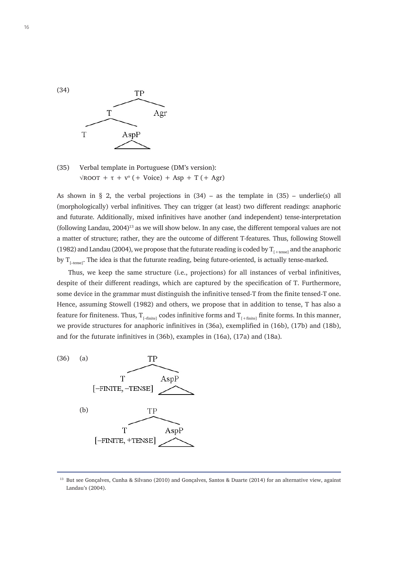



As shown in § 2, the verbal projections in  $(34)$  – as the template in  $(35)$  – underlie(s) all (morphologically) verbal infinitives. They can trigger (at least) two different readings: anaphoric and futurate. Additionally, mixed infinitives have another (and independent) tense-interpretation (following Landau, 2004)<sup>13</sup> as we will show below. In any case, the different temporal values are not a matter of structure; rather, they are the outcome of different T-features. Thus, following Stowell (1982) and Landau (2004), we propose that the futurate reading is coded by  $T_{f_{\text{t+tense}}}$  and the anaphoric by  $T_{\text{[-tense]}}$ . The idea is that the futurate reading, being future-oriented, is actually tense-marked.

Thus, we keep the same structure (i.e., projections) for all instances of verbal infinitives, despite of their different readings, which are captured by the specification of T. Furthermore, some device in the grammar must distinguish the infinitive tensed-T from the finite tensed-T one. Hence, assuming Stowell (1982) and others, we propose that in addition to tense, T has also a feature for finiteness. Thus,  $T_{[-finite]}$  codes infinitive forms and  $T_{[+finite]}$  finite forms. In this manner, we provide structures for anaphoric infinitives in (36a), exemplified in (16b), (17b) and (18b), and for the futurate infinitives in (36b), examples in (16a), (17a) and (18a).



<sup>&</sup>lt;sup>13</sup> But see Goncalves, Cunha & Silvano (2010) and Goncalves, Santos & Duarte (2014) for an alternative view, against Landau's (2004).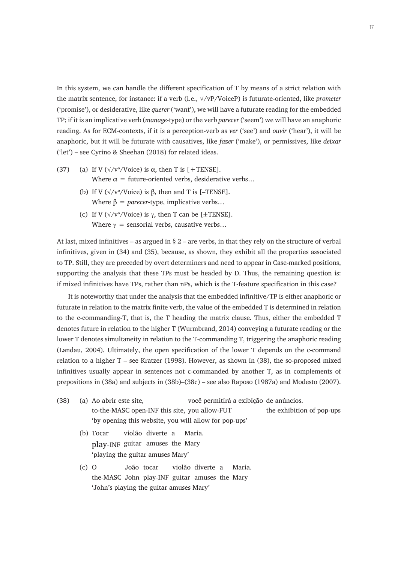In this system, we can handle the different specification of T by means of a strict relation with the matrix sentence, for instance: if a verb (i.e., √/vP/VoiceP) is futurate-oriented, like *prometer* ('promise'), or desiderative, like *querer* ('want'), we will have a futurate reading for the embedded TP; if it is an implicative verb (*manage-*type) or the verb *parecer* ('seem') we will have an anaphoric reading. As for ECM-contexts, if it is a perception-verb as *ver* ('see') and *ouvir* ('hear'), it will be anaphoric, but it will be futurate with causatives, like *fazer* ('make'), or permissives, like *deixar* ('let') – see Cyrino & Sheehan (2018) for related ideas.

- (37) (a) If V ( $\sqrt{\frac{v}{\text{V}}}$  (vice) is  $\alpha$ , then T is [+TENSE]. Where  $\alpha$  = future-oriented verbs, desiderative verbs...
	- (b) If V ( $\sqrt{\frac{v}{v}}$  Voice) is  $\beta$ , then and T is [-TENSE]. Where  $\beta$  = *parecer*-type, implicative verbs...
	- (c) If V ( $\sqrt{v}$ /Voice) is  $\gamma$ , then T can be [ $\pm$ TENSE]. Where  $\gamma$  = sensorial verbs, causative verbs...

At last, mixed infinitives – as argued in  $\S$  2 – are verbs, in that they rely on the structure of verbal infinitives, given in (34) and (35), because, as shown, they exhibit all the properties associated to TP. Still, they are preceded by overt determiners and need to appear in Case-marked positions, supporting the analysis that these TPs must be headed by D. Thus, the remaining question is: if mixed infinitives have TPs, rather than nPs, which is the T-feature specification in this case?

It is noteworthy that under the analysis that the embedded infinitive/TP is either anaphoric or futurate in relation to the matrix finite verb, the value of the embedded T is determined in relation to the c-commanding-T, that is, the T heading the matrix clause. Thus, either the embedded T denotes future in relation to the higher T (Wurmbrand, 2014) conveying a futurate reading or the lower T denotes simultaneity in relation to the T-commanding T, triggering the anaphoric reading (Landau, 2004). Ultimately, the open specification of the lower T depends on the c-command relation to a higher T – see Kratzer (1998). However, as shown in (38), the so-proposed mixed infinitives usually appear in sentences not c-commanded by another T, as in complements of prepositions in (38a) and subjects in (38b)–(38c) – see also Raposo (1987a) and Modesto (2007).

| (38) | (a) Ao abrir este site,                               | você permitirá a exibição de anúncios. |                           |
|------|-------------------------------------------------------|----------------------------------------|---------------------------|
|      | to-the-MASC open-INF this site, you allow-FUT         |                                        | the exhibition of pop-ups |
|      | "by opening this website, you will allow for pop-ups" |                                        |                           |

- (b) Tocar violão diverte a Maria. play-INF guitar amuses the Mary 'playing the guitar amuses Mary'
- (c) O João tocar violão diverte a Maria. the-MASC John play-INF guitar amuses the Mary 'John's playing the guitar amuses Mary'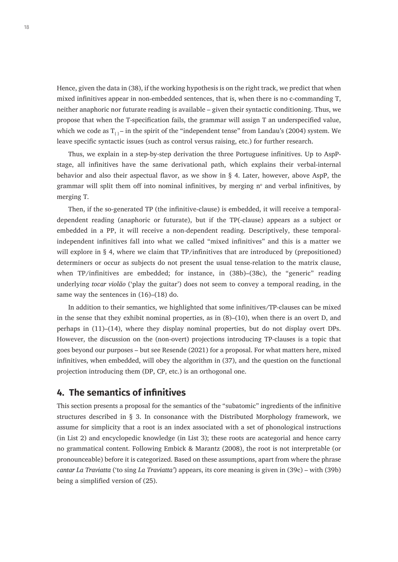Hence, given the data in (38), if the working hypothesis is on the right track, we predict that when mixed infinitives appear in non-embedded sentences, that is, when there is no c-commanding T, neither anaphoric nor futurate reading is available – given their syntactic conditioning. Thus, we propose that when the T-specification fails, the grammar will assign T an underspecified value, which we code as  $T_{11}$  – in the spirit of the "independent tense" from Landau's (2004) system. We leave specific syntactic issues (such as control versus raising, etc.) for further research.

Thus, we explain in a step-by-step derivation the three Portuguese infinitives. Up to AspPstage, all infinitives have the same derivational path, which explains their verbal-internal behavior and also their aspectual flavor, as we show in § 4. Later, however, above AspP, the grammar will split them off into nominal infinitives, by merging  $n<sup>o</sup>$  and verbal infinitives, by merging T.

Then, if the so-generated TP (the infinitive-clause) is embedded, it will receive a temporaldependent reading (anaphoric or futurate), but if the TP(-clause) appears as a subject or embedded in a PP, it will receive a non-dependent reading. Descriptively, these temporalindependent infinitives fall into what we called "mixed infinitives" and this is a matter we will explore in § 4, where we claim that TP/infinitives that are introduced by (prepositioned) determiners or occur as subjects do not present the usual tense-relation to the matrix clause, when TP/infinitives are embedded; for instance, in (38b)–(38c), the "generic" reading underlying *tocar violão* ('play the guitar') does not seem to convey a temporal reading, in the same way the sentences in (16)–(18) do.

In addition to their semantics, we highlighted that some infinitives/TP-clauses can be mixed in the sense that they exhibit nominal properties, as in (8)–(10), when there is an overt D, and perhaps in (11)–(14), where they display nominal properties, but do not display overt DPs. However, the discussion on the (non-overt) projections introducing TP-clauses is a topic that goes beyond our purposes – but see Resende (2021) for a proposal. For what matters here, mixed infinitives, when embedded, will obey the algorithm in (37), and the question on the functional projection introducing them (DP, CP, etc.) is an orthogonal one.

#### **4. The semantics of infinitives**

This section presents a proposal for the semantics of the "subatomic" ingredients of the infinitive structures described in  $\S$  3. In consonance with the Distributed Morphology framework, we assume for simplicity that a root is an index associated with a set of phonological instructions (in List 2) and encyclopedic knowledge (in List 3); these roots are acategorial and hence carry no grammatical content. Following Embick & Marantz (2008), the root is not interpretable (or pronounceable) before it is categorized. Based on these assumptions, apart from where the phrase *cantar La Traviatta* ('to sing *La Traviatta'*) appears, its core meaning is given in (39c) – with (39b) being a simplified version of (25).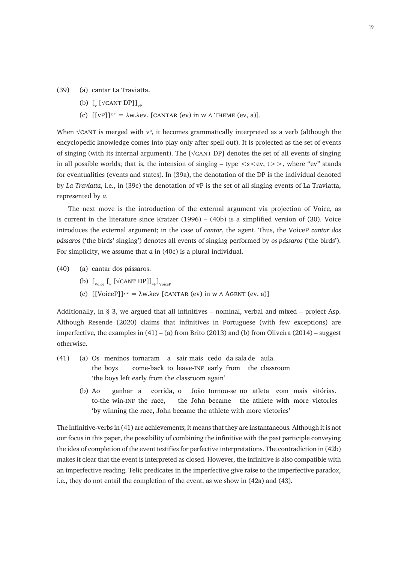- (39) (a) cantar La Traviatta.
	- (b)  $\left[\begin{smallmatrix} 0 & \sqrt{\text{CANT DP}} \end{smallmatrix}\right]_{\text{vP}}$
	- (c)  $\lceil \text{[vP]} \rceil^{g,c} = \lambda w \cdot \lambda \text{ev}.$  [CANTAR (ev) in w  $\wedge$  THEME (ev, a)].

When  $\sqrt{C}$  is merged with  $v^{\circ}$ , it becomes grammatically interpreted as a verb (although the encyclopedic knowledge comes into play only after spell out). It is projected as the set of events of singing (with its internal argument). The  $\lceil \sqrt{CANT} \, D \, P \rceil$  denotes the set of all events of singing in all possible worlds; that is, the intension of singing – type  $\langle s \langle e v, t \rangle$ , where "ev" stands for eventualities (events and states). In (39a), the denotation of the DP is the individual denoted by *La Traviatta*, i.e., in (39c) the denotation of vP is the set of all singing events of La Traviatta, represented by *a*.

The next move is the introduction of the external argument via projection of Voice, as is current in the literature since Kratzer (1996) – (40b) is a simplified version of (30). Voice introduces the external argument; in the case of *cantar*, the agent. Thus, the VoiceP *cantar dos pássaros* ('the birds' singing') denotes all events of singing performed by *os pássaros* ('the birds'). For simplicity, we assume that *a* in (40c) is a plural individual.

(40) (a) cantar dos pássaros.

- (b) [Voice [v [√cant DP]]vP]VoiceP
- (c)  $\left[\text{[VoiceP]}\right]$ <sup>g,c</sup> =  $\lambda$ w. $\lambda$ ev  $\left[\text{CANTAR (ev) in w } \land \text{AGENT (ev, a)}\right]$

Additionally, in § 3, we argued that all infinitives – nominal, verbal and mixed – project Asp. Although Resende (2020) claims that infinitives in Portuguese (with few exceptions) are imperfective, the examples in  $(41) - (a)$  from Brito  $(2013)$  and  $(b)$  from Oliveira  $(2014)$  – suggest otherwise.

- (41) (a) Os meninos tornaram a sair mais cedo da sala de aula. the boys come-back to leave-INF early from the classroom 'the boys left early from the classroom again'
	- (b) Ao ganhar a corrida, o João tornou-se no atleta com mais vitórias. to-the win-inf the race, the John became the athlete with more victories 'by winning the race, John became the athlete with more victories'

The infinitive-verbs in (41) are achievements; it means that they are instantaneous. Although it is not our focus in this paper, the possibility of combining the infinitive with the past participle conveying the idea of completion of the event testifies for perfective interpretations. The contradiction in (42b) makes it clear that the event is interpreted as closed. However, the infinitive is also compatible with an imperfective reading. Telic predicates in the imperfective give raise to the imperfective paradox, i.e., they do not entail the completion of the event, as we show in (42a) and (43).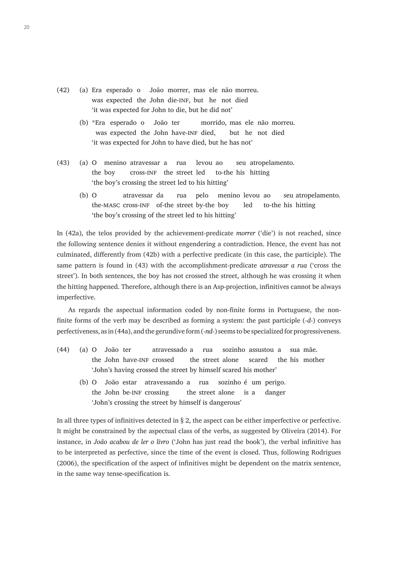- (42) (a) Era esperado o João morrer, mas ele não morreu. was expected the John die-INF, but he not died 'it was expected for John to die, but he did not'
	- (b) \*Era esperado o João ter morrido, mas ele não morreu. was expected the John have-INF died, but he not died 'it was expected for John to have died, but he has not'
- (43) (a) O menino atravessar a rua levou ao seu atropelamento. the boy cross-inf the street led to-the his hitting 'the boy's crossing the street led to his hitting'
	- (b) O atravessar da rua pelo menino levou ao seu atropelamento. the-masc cross-inf of-the street by-the boy led to-the his hitting 'the boy's crossing of the street led to his hitting'

In (42a), the telos provided by the achievement-predicate *morrer* ('die') is not reached, since the following sentence denies it without engendering a contradiction. Hence, the event has not culminated, differently from (42b) with a perfective predicate (in this case, the participle). The same pattern is found in (43) with the accomplishment-predicate *atravessar a rua* ('cross the street'). In both sentences, the boy has not crossed the street, although he was crossing it when the hitting happened. Therefore, although there is an Asp-projection, infinitives cannot be always imperfective.

As regards the aspectual information coded by non-finite forms in Portuguese, the nonfinite forms of the verb may be described as forming a system: the past participle (-*d*-) conveys perfectiveness, as in (44a), and the gerundive form (-*nd*-) seems to be specialized for progressiveness.

- (44) (a) O João ter atravessado a rua sozinho assustou a sua mãe. the John have-inf crossed the street alone scared the his mother 'John's having crossed the street by himself scared his mother'
	- (b) O João estar atravessando a rua sozinho é um perigo. the John be-inf crossing the street alone is a danger 'John's crossing the street by himself is dangerous'

In all three types of infinitives detected in § 2, the aspect can be either imperfective or perfective. It might be constrained by the aspectual class of the verbs, as suggested by Oliveira (2014). For instance, in *João acabou de ler o livro* ('John has just read the book'), the verbal infinitive has to be interpreted as perfective, since the time of the event is closed. Thus, following Rodrigues (2006), the specification of the aspect of infinitives might be dependent on the matrix sentence, in the same way tense-specification is.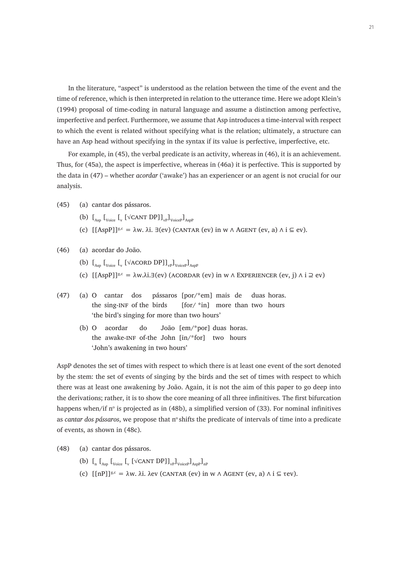In the literature, "aspect" is understood as the relation between the time of the event and the time of reference, which is then interpreted in relation to the utterance time. Here we adopt Klein's (1994) proposal of time-coding in natural language and assume a distinction among perfective, imperfective and perfect. Furthermore, we assume that Asp introduces a time-interval with respect to which the event is related without specifying what is the relation; ultimately, a structure can have an Asp head without specifying in the syntax if its value is perfective, imperfective, etc.

For example, in (45), the verbal predicate is an activity, whereas in (46), it is an achievement. Thus, for (45a), the aspect is imperfective, whereas in (46a) it is perfective. This is supported by the data in (47) – whether *acordar* ('awake') has an experiencer or an agent is not crucial for our analysis.

- (45) (a) cantar dos pássaros.
	- (b)  $\left[\begin{smallmatrix} 0 & \mu_{\text{Asp}} \end{smallmatrix}\right]_{\text{Voice}}$   $\left[\begin{smallmatrix} 0 & \mu_{\text{V}} \end{smallmatrix}\right]_{\text{Voice}}$   $\left[\begin{smallmatrix} 0 & \mu_{\text{Asp}} \end{smallmatrix}\right]_{\text{Asp}}$
	- (c)  $[[AspP]]^{g,c} = \lambda w$ .  $\lambda i$ .  $\exists (ev)$  (CANTAR (ev) in w  $\wedge$  AGENT (ev, a)  $\wedge$  i  $\subseteq$  ev).
- (46) (a) acordar do João.
	- (b)  $\left[\begin{smallmatrix}L_{\text{Asp}} & L_{\text{Voice}} & L_{\text{V}} \end{smallmatrix}\right]$   $\left[\begin{smallmatrix}VACORD & DP \end{smallmatrix}\right]$ <sub>Voice</sub>  $\left[\begin{smallmatrix}J_{\text{AspP}} & L_{\text{AspP}} \end{smallmatrix}\right]$
	- (c)  $[(AspP)]^{g,c} = \lambda w.\lambda i. \exists (ev) (ACORDAR (ev) in w \land EXPERIENCER (ev, i) \land i \supseteq ev)$
- (47) (a) O cantar dos pássaros [por/\*em] mais de duas horas. the sing-INF of the birds  $[for/\pi]$  more than two hours 'the bird's singing for more than two hours'
	- (b) O acordar do João [em/\*por] duas horas. the awake-inf of-the John [in/\*for] two hours 'John's awakening in two hours'

AspP denotes the set of times with respect to which there is at least one event of the sort denoted by the stem: the set of events of singing by the birds and the set of times with respect to which there was at least one awakening by João. Again, it is not the aim of this paper to go deep into the derivations; rather, it is to show the core meaning of all three infinitives. The first bifurcation happens when/if  $n^{\circ}$  is projected as in (48b), a simplified version of (33). For nominal infinitives as *cantar dos pássaros*, we propose that n<sup>o</sup> shifts the predicate of intervals of time into a predicate of events, as shown in (48c).

- (48) (a) cantar dos pássaros.
	- (b)  $\begin{bmatrix} 0 & \begin{bmatrix} 0 & \begin{bmatrix} 0 & \text{N} \end{bmatrix} \end{bmatrix} \end{bmatrix} \begin{bmatrix} 0 & \text{N} \end{bmatrix} \end{bmatrix}$
	- (c)  $[\lceil nP \rceil]^{g,c} = \lambda w$ .  $\lambda i$ .  $\lambda$ ev (CANTAR (ev) in w  $\Lambda$  AGENT (ev, a)  $\Lambda$  i  $\subseteq$  rev).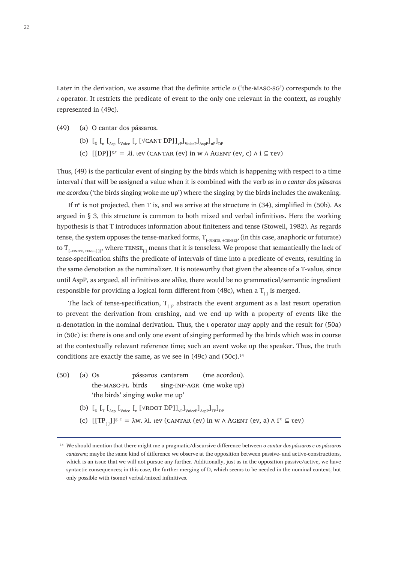Later in the derivation, we assume that the definite article *o* ('the-masc-sg') corresponds to the  $\iota$  operator. It restricts the predicate of event to the only one relevant in the context, as roughly represented in (49c).

- (49) (a) O cantar dos pássaros.
	- (b)  $\begin{bmatrix} 0 \end{bmatrix}$   $\begin{bmatrix} 0 \end{bmatrix}$   $\begin{bmatrix} 0 \end{bmatrix}$   $\begin{bmatrix} 0 \end{bmatrix}$   $\begin{bmatrix} 0 \end{bmatrix}$   $\begin{bmatrix} 0 \end{bmatrix}$   $\begin{bmatrix} 0 \end{bmatrix}$   $\begin{bmatrix} 0 \end{bmatrix}$   $\begin{bmatrix} 0 \end{bmatrix}$   $\begin{bmatrix} 0 \end{bmatrix}$   $\begin{bmatrix} 0 \end{bmatrix}$   $\begin{bmatrix} 0 \end{bmatrix}$   $\begin{bmatrix} 0 \end{b$
	- (c)  $[DP]_{8,c} = \lambda i$ , ιev (CANTAR (ev) in w  $\wedge$  AGENT (ev, c)  $\wedge i \subseteq \text{rev}$ )

Thus, (49) is the particular event of singing by the birds which is happening with respect to a time interval *i* that will be assigned a value when it is combined with the verb as in *o cantar dos pássaros me acordou* ('the birds singing woke me up') where the singing by the birds includes the awakening.

If  $n^{\circ}$  is not projected, then T is, and we arrive at the structure in (34), simplified in (50b). As argued in § 3, this structure is common to both mixed and verbal infinitives. Here the working hypothesis is that T introduces information about finiteness and tense (Stowell, 1982). As regards tense, the system opposes the tense-marked forms,  $\rm T_{_{[-FINITE, \pm TENSE]}},$  (in this case, anaphoric or futurate) to T $_{\rm{[-FINITE, TENSEL]J'}}$  where  $\rm{TENSE}_{[~]}$  means that it is tenseless. We propose that semantically the lack of tense-specification shifts the predicate of intervals of time into a predicate of events, resulting in the same denotation as the nominalizer. It is noteworthy that given the absence of a T-value, since until AspP, as argued, all infinitives are alike, there would be no grammatical/semantic ingredient responsible for providing a logical form different from (48c), when a  $T_{1}$  is merged.

The lack of tense-specification,  $T_{\text{c}}$ , abstracts the event argument as a last resort operation to prevent the derivation from crashing, and we end up with a property of events like the n-denotation in the nominal derivation. Thus, the *i* operator may apply and the result for (50a) in (50c) is: there is one and only one event of singing performed by the birds which was in course at the contextually relevant reference time; such an event woke up the speaker. Thus, the truth conditions are exactly the same, as we see in  $(49c)$  and  $(50c)$ .<sup>14</sup>

- (50) (a) Os pássaros cantarem (me acordou). the-masc-pl birds sing-inf-agr (me woke up) 'the birds' singing woke me up'
	- (b)  $\begin{bmatrix} 0 \end{bmatrix}$   $\begin{bmatrix} 0 \end{bmatrix}$   $\begin{bmatrix} 0 \end{bmatrix}$   $\begin{bmatrix} 0 \end{bmatrix}$   $\begin{bmatrix} 0 \end{bmatrix}$   $\begin{bmatrix} 0 \end{bmatrix}$   $\begin{bmatrix} 0 \end{bmatrix}$   $\begin{bmatrix} 0 \end{bmatrix}$   $\begin{bmatrix} 0 \end{bmatrix}$   $\begin{bmatrix} 0 \end{bmatrix}$   $\begin{bmatrix} 0 \end{bmatrix}$   $\begin{bmatrix} 0 \end{bmatrix}$   $\begin{bmatrix} 0 \end{b$
	- (c)  $[[TP_{1}]]g.c = \lambda w. \lambda i.$  ιev (CANTAR (ev) in w  $\Lambda$  AGENT (ev, a)  $\Lambda$  i<sup>\*</sup>  $\subseteq$  tev)

<sup>14</sup> We should mention that there might me a pragmatic/discursive difference between *o cantar dos pássaros e os pássaros canterem*; maybe the same kind of difference we observe at the opposition between passive- and active-constructions, which is an issue that we will not pursue any further. Additionally, just as in the opposition passive/active, we have syntactic consequences; in this case, the further merging of D, which seems to be needed in the nominal context, but only possible with (some) verbal/mixed infinitives.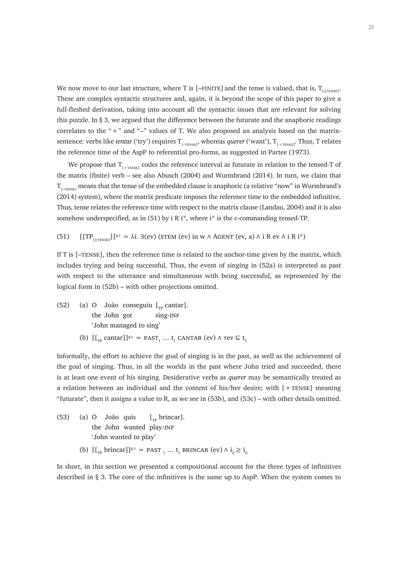We now move to our last structure, where T is [–FINITE] and the tense is valued, that is,  $\rm T_{[{\pm} {\rm rms} s]}$ . These are complex syntactic structures and, again, it is beyond the scope of this paper to give a full-fleshed derivation, taking into account all the syntactic issues that are relevant for solving this puzzle. In § 3, we argued that the difference between the futurate and the anaphoric readings correlates to the " $+$ " and " $-$ " values of T. We also proposed an analysis based on the matrixsentence: verbs like *tentar* ('try') requires T<sub>[–тENSE]</sub>, whereas *querer* ('want'), T<sub>[+тENSE]</sub>. Thus, T relates the reference time of the AspP to referential pro-forms, as suggested in Partee (1973).

We propose that  $T_{_{[+TENSE]}}$  codes the reference interval as futurate in relation to the tensed-T of the matrix (finite) verb – see also Abusch (2004) and Wurmbrand (2014). In turn, we claim that  $\rm T_{_{[-TENSE]}}$  means that the tense of the embedded clause is anaphoric (a relative "now" in Wurmbrand's (2014) system), where the matrix predicate imposes the reference time to the embedded infinitive. Thus, tense relates the reference time with respect to the matrix clause (Landau, 2004) and it is also somehow underspecified, as in (51) by i R i\*, where i\* is the c-commanding tensed-TP.

(51) 
$$
[[TP_{[\pm \text{tr}; \text{NSE}]}]]^{g.c} = \lambda i. \exists (ev) \text{ (STEM (ev) in w } \land \text{AGENT (ev, a) } \land i \text{ R } ev \land i \text{ R } i^*)
$$

If T is  $[-T_{\text{ENSE}}]$ , then the reference time is related to the anchor-time given by the matrix, which includes trying and being successful. Thus, the event of singing in (52a) is interpreted as past with respect to the utterance and simultaneous with being successful, as represented by the logical form in (52b) – with other projections omitted.

- (52) (a) O João conseguiu  $\left[\begin{matrix} 0 & \text{constant} \end{matrix}\right]$ . the John got sing-INF 'John managed to sing'
	- (b)  $[[\Gamma_{\text{TP}} \text{ cantar}]]^{g.c} = \text{PAST}_1 ... \text{t}_1 \text{ CANTAR}$  (ev)  $\wedge$  tev  $\subseteq$  t<sub>1</sub>

Informally, the effort to achieve the goal of singing is in the past, as well as the achievement of the goal of singing. Thus, in all the worlds in the past where John tried and succeeded, there is at least one event of his singing. Desiderative verbs as *querer* may be semantically treated as a relation between an individual and the content of his/her desire; with  $[+TENSE]$  meaning "futurate", then it assigns a value to R, as we see in (53b), and (53c) – with other details omitted.

- (53) (a) O João quis  $\left[\begin{matrix} 0 & \text{if } \mathbf{r} \\ \text{if } \mathbf{r} \end{matrix}\right]$  [ $\left[\begin{matrix} 0 & \text{if } \mathbf{r} \\ \text{if } \mathbf{r} \end{matrix}\right]$ the John wanted play-INF 'John wanted to play'
	- (b)  $[[\text{p} \text{ brincar}]]^{g.c} = \text{PAST}_1 ... \text{ t}_1 \text{ BRINCAR}$  (ev)  $\wedge i_2 \geq i_0$

In short, in this section we presented a compositional account for the three types of infinitives described in § 3. The core of the infinitives is the same up to AspP. When the system comes to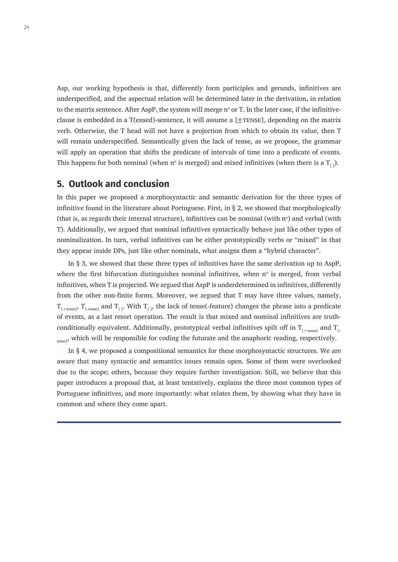Asp, our working hypothesis is that, differently form participles and gerunds, infinitives are underspecified, and the aspectual relation will be determined later in the derivation, in relation to the matrix sentence. After AspP, the system will merge  $n^{\circ}$  or T. In the later case, if the infinitiveclause is embedded in a T(ensed)-sentence, it will assume a  $[\pm$ TENSE], depending on the matrix verb. Otherwise, the T head will not have a projection from which to obtain its value, then T will remain underspecified. Semantically given the lack of tense, as we propose, the grammar will apply an operation that shifts the predicate of intervals of time into a predicate of events. This happens for both nominal (when n° is merged) and mixed infinitives (when there is a  $T_{[\ ]}$ ).

#### **5. Outlook and conclusion**

In this paper we proposed a morphosyntactic and semantic derivation for the three types of infinitive found in the literature about Portuguese. First, in § 2, we showed that morphologically (that is, as regards their internal structure), infinitives can be nominal (with  $n^{\circ}$ ) and verbal (with T). Additionally, we argued that nominal infinitives syntactically behave just like other types of nominalization. In turn, verbal infinitives can be either prototypically verbs or "mixed" in that they appear inside DPs, just like other nominals, what assigns them a "hybrid character".

In § 3, we showed that these three types of infinitives have the same derivation up to AspP, where the first bifurcation distinguishes nominal infinitives, when  $n^{\circ}$  is merged, from verbal infinitives, when T is projected. We argued that AspP is underdetermined in infinitives, differently from the other non-finite forms. Moreover, we argued that T may have three values, namely,  $T_{[+tense]}$ ,  $T_{[-tense]}$  and  $T_{[]}$ . With  $T_{[]}$ , the lack of tense(-feature) changes the phrase into a predicate of events, as a last resort operation. The result is that mixed and nominal infinitives are truthconditionally equivalent. Additionally, prototypical verbal infinitives spilt off in  $T_{f_{\text{t}}+\text{resel}}$  and  $T_{f_{\text{t}}}$ tensel<sup>,</sup> which will be responsible for coding the futurate and the anaphoric reading, respectively.

In § 4, we proposed a compositional semantics for these morphosyntactic structures. We are aware that many syntactic and semantics issues remain open. Some of them were overlooked due to the scope; others, because they require further investigation. Still, we believe that this paper introduces a proposal that, at least tentatively, explains the three most common types of Portuguese infinitives, and more importantly: what relates them, by showing what they have in common and where they come apart.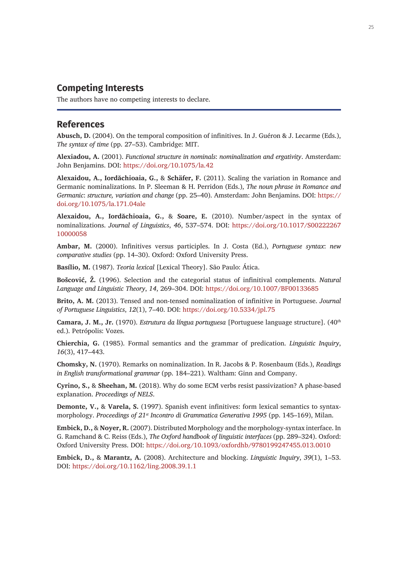## **Competing Interests**

The authors have no competing interests to declare.

#### **References**

**Abusch, D.** (2004). On the temporal composition of infinitives. In J. Guéron & J. Lecarme (Eds.), *The syntax of time* (pp. 27–53). Cambridge: MIT.

**Alexiadou, A.** (2001). *Functional structure in nominals*: *nominalization and ergativity*. Amsterdam: John Benjamins. DOI: <https://doi.org/10.1075/la.42>

**Alexaidou, A., Iordăchioaia, G.,** & **Schäfer, F.** (2011). Scaling the variation in Romance and Germanic nominalizations. In P. Sleeman & H. Perridon (Eds.), *The noun phrase in Romance and Germanic*: *structure, variation and change* (pp. 25–40). Amsterdam: John Benjamins. DOI: [https://](https://doi.org/10.1075/la.171.04ale) [doi.org/10.1075/la.171.04ale](https://doi.org/10.1075/la.171.04ale)

**Alexaidou, A., Iordăchioaia, G.,** & **Soare, E.** (2010). Number/aspect in the syntax of nominalizations. *Journal of Linguistics*, *46*, 537–574. DOI: [https://doi.org/10.1017/S00222267](https://doi.org/10.1017/S0022226710000058) [10000058](https://doi.org/10.1017/S0022226710000058)

**Ambar, M.** (2000). Infinitives versus participles. In J. Costa (Ed.), *Portuguese syntax*: *new comparative studies* (pp. 14–30). Oxford: Oxford University Press.

**Basílio, M.** (1987). *Teoria lexical* [Lexical Theory]. São Paulo: Ática.

**Bošcović, Ž.** (1996). Selection and the categorial status of infinitival complements. *Natural Language and Linguistic Theory*, *14*, 269–304. DOI: <https://doi.org/10.1007/BF00133685>

**Brito, A. M.** (2013). Tensed and non-tensed nominalization of infinitive in Portuguese. *Journal of Portuguese Linguistics*, *12*(1), 7–40. DOI:<https://doi.org/10.5334/jpl.75>

**Camara, J. M., Jr.** (1970). *Estrutura da língua portuguesa* [Portuguese language structure]. (40th ed.). Petrópolis: Vozes.

**Chierchia, G.** (1985). Formal semantics and the grammar of predication. *Linguistic Inquiry*, *16*(3), 417–443.

**Chomsky, N.** (1970). Remarks on nominalization. In R. Jacobs & P. Rosenbaum (Eds.), *Readings in English transformational grammar* (pp. 184–221). Waltham: Ginn and Company.

**Cyrino, S.,** & **Sheehan, M.** (2018). Why do some ECM verbs resist passivization? A phase-based explanation. *Proceedings of NELS*.

**Demonte, V.,** & **Varela, S.** (1997). Spanish event infinitives: form lexical semantics to syntaxmorphology. *Proceedings of 21st Incontro di Grammatica Generativa 1995* (pp. 145–169), Milan.

**Embick, D.,** & **Noyer, R.** (2007). Distributed Morphology and the morphology-syntax interface. In G. Ramchand & C. Reiss (Eds.), *The Oxford handbook of linguistic interfaces* (pp. 289–324). Oxford: Oxford University Press. DOI: <https://doi.org/10.1093/oxfordhb/9780199247455.013.0010>

**Embick, D.,** & **Marantz, A.** (2008). Architecture and blocking. *Linguistic Inquiry*, *39*(1), 1–53. DOI:<https://doi.org/10.1162/ling.2008.39.1.1>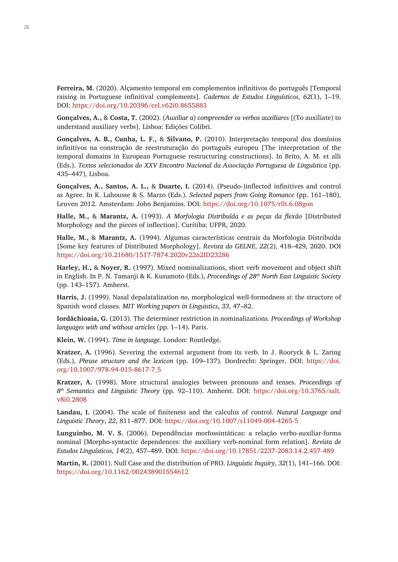**Ferreira, M.** (2020). Alçamento temporal em complementos infinitivos do português [Temporal raising in Portuguese infinitival complements]. *Cadernos de Estudos Linguísticos*, *62*(1), 1–19. DOI:<https://doi.org/10.20396/cel.v62i0.8655883>

**Gonçalves, A.,** & **Costa, T.** (2002). (*Auxiliar a*) *compreender os verbos auxiliares* [(To auxiliate) to understand auxiliary verbs]. Lisboa: Edições Colibri.

**Gonçalves, A. B., Cunha, L. F.,** & **Silvano, P.** (2010). Interpretação temporal dos domínios infinitivos na construção de reestruturação do português europeu [The interpretation of the temporal domains in European Portuguese restructuring constructions]. In Brito, A. M. et alli (Eds.). *Textos selecionados do XXV Encontro Nacional da Associação Portuguesa de Linguística* (pp. 435–447), Lisboa.

**Gonçalves, A., Santos, A. L.,** & **Duarte, I.** (2014). (Pseudo-)inflected infinitives and control as Agree. In K. Lahousse & S. Marzo (Eds.). *Selected papers from Going Romance* (pp. 161–180), Leuven 2012. Amsterdam: John Benjamins. DOI: <https://doi.org/10.1075/rllt.6.08gon>

**Halle, M.,** & **Marantz, A.** (1993). *A Morfologia Distribuída e as peças da flexão* [Distributed Morphology and the pieces of inflection]. Curitiba: UFPR, 2020.

**Halle, M.,** & **Marantz, A.** (1994). Algumas características centrais da Morfologia Distribuída [Some key features of Distributed Morphology]. *Revista do GELNE*, *22*(2), 418–429, 2020. DOI <https://doi.org/10.21680/1517-7874.2020v22n2ID23286>

**Harley, H.,** & **Noyer, R.** (1997). Mixed nominalizations, short verb movement and object shift in English. In P. N. Tamanji & K. Kusumoto (Eds.), *Proceedings of 28th North East Linguistic Society* (pp. 143–157). Amherst.

**Harris, J.** (1999). Nasal depalatalization *no*, morphological well-formedness *si*: the structure of Spanish word classes. *MIT Working papers in Linguistics*, *33*, 47–82.

**Iordăchioaia, G.** (2013). The determiner restriction in nominalizations. *Proceedings of Workshop languages with and without articles* (pp. 1–14). Paris.

**Klein, W.** (1994). *Time in language*. London: Routledge.

**Kratzer, A.** (1996). Severing the external argument from its verb. In J. Rooryck & L. Zaring (Eds.), *Phrase structure and the lexicon* (pp. 109–137). Dordrecht: Springer. DOI: [https://doi.](https://doi.org/10.1007/978-94-015-8617-7_5) [org/10.1007/978-94-015-8617-7\\_5](https://doi.org/10.1007/978-94-015-8617-7_5)

**Kratzer, A.** (1998). More structural analogies between pronouns and tenses. *Proceedings of 8th Semantics and Linguistic Theory* (pp. 92–110). Amherst. DOI: [https://doi.org/10.3765/salt.](https://doi.org/10.3765/salt.v8i0.2808) [v8i0.2808](https://doi.org/10.3765/salt.v8i0.2808)

**Landau, I.** (2004). The scale of finiteness and the calculus of control. *Natural Language and Linguistic Theory*, *22*, 811–877. DOI: <https://doi.org/10.1007/s11049-004-4265-5>

**Lunguinho, M. V. S.** (2006). Dependências morfossintáticas: a relação verbo-auxiliar-forma nominal [Morpho-syntactic dependences: the auxiliary verb-nominal form relation]. *Revista de Estudos Linguísticos*, *14*(2), 457–489. DOI:<https://doi.org/10.17851/2237-2083.14.2.457-489>

**Martin, R.** (2001). Null Case and the distribution of PRO. *Linguistic Inquiry*, *32*(1), 141–166. DOI: <https://doi.org/10.1162/002438901554612>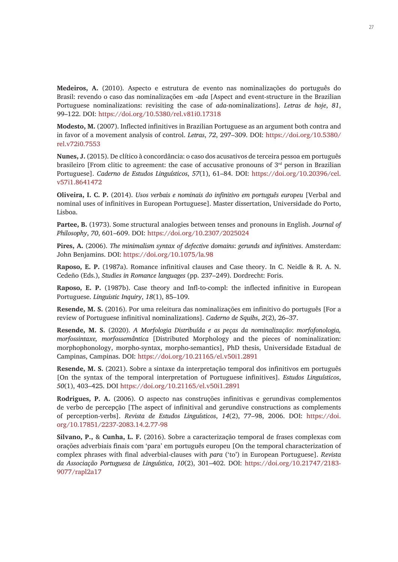**Medeiros, A.** (2010). Aspecto e estrutura de evento nas nominalizações do português do Brasil: revendo o caso das nominalizações em -*ada* [Aspect and event-structure in the Brazilian Portuguese nominalizations: revisiting the case of *ada*-nominalizations]. *Letras de hoje*, *81*, 99–122. DOI:<https://doi.org/10.5380/rel.v81i0.17318>

**Modesto, M.** (2007). Inflected infinitives in Brazilian Portuguese as an argument both contra and in favor of a movement analysis of control. *Letras*, *72*, 297–309. DOI: [https://doi.org/10.5380/](https://doi.org/10.5380/rel.v72i0.7553) [rel.v72i0.7553](https://doi.org/10.5380/rel.v72i0.7553)

**Nunes, J.** (2015). De clítico à concordância: o caso dos acusativos de terceira pessoa em português brasileiro [From clitic to agreement: the case of accusative pronouns of  $3<sup>rd</sup>$  person in Brazilian Portuguese]. *Caderno de Estudos Linguísticos*, *57*(1), 61–84. DOI: [https://doi.org/10.20396/cel.](https://doi.org/10.20396/cel.v57i1.8641472) [v57i1.8641472](https://doi.org/10.20396/cel.v57i1.8641472)

**Oliveira, I. C. P.** (2014). *Usos verbais e nominais do infinitivo em português europeu* [Verbal and nominal uses of infinitives in European Portuguese]. Master dissertation, Universidade do Porto, Lisboa.

**Partee, B.** (1973). Some structural analogies between tenses and pronouns in English. *Journal of Philosophy*, *70*, 601–609. DOI: <https://doi.org/10.2307/2025024>

**Pires, A.** (2006). *The minimalism syntax of defective domains*: *gerunds and infinitives*. Amsterdam: John Benjamins. DOI: <https://doi.org/10.1075/la.98>

**Raposo, E. P.** (1987a). Romance infinitival clauses and Case theory. In C. Neidle & R. A. N. Cedeño (Eds.), *Studies in Romance languages* (pp. 237–249). Dordrecht: Foris.

**Raposo, E. P.** (1987b). Case theory and Infl-to-compl: the inflected infinitive in European Portuguese. *Linguistic Inquiry*, *18*(1), 85–109.

**Resende, M. S.** (2016). Por uma releitura das nominalizações em infinitivo do português [For a review of Portuguese infinitival nominalizations]. *Caderno de Squibs*, *2*(2), 26–37.

**Resende, M. S.** (2020). *A Morfologia Distribuída e as peças da nominalização*: *morfofonologia, morfossintaxe, morfossemântica* [Distributed Morphology and the pieces of nominalization: morphophonology, morpho-syntax, morpho-semantics], PhD thesis, Universidade Estadual de Campinas, Campinas. DOI:<https://doi.org/10.21165/el.v50i1.2891>

**Resende, M. S.** (2021). Sobre a sintaxe da interpretação temporal dos infinitivos em português [On the syntax of the temporal interpretation of Portuguese infinitives]. *Estudos Linguísticos*, *50*(1), 403–425. DOI<https://doi.org/10.21165/el.v50i1.2891>

**Rodrigues, P. A.** (2006). O aspecto nas construções infinitivas e gerundivas complementos de verbo de percepção [The aspect of infinitival and gerundive constructions as complements of perception-verbs]. *Revista de Estudos Linguísticos*, *14*(2), 77–98, 2006. DOI: [https://doi.](https://doi.org/10.17851/2237-2083.14.2.77-98) [org/10.17851/2237-2083.14.2.77-98](https://doi.org/10.17851/2237-2083.14.2.77-98)

**Silvano, P.,** & **Cunha, L. F.** (2016). Sobre a caracterização temporal de frases complexas com orações adverbiais finais com 'para' em português europeu [On the temporal characterization of complex phrases with final adverbial-clauses with *para* ('to') in European Portuguese]. *Revista da Associação Portuguesa de Linguística*, *10*(2), 301–402. DOI: [https://doi.org/10.21747/2183-](https://doi.org/10.21747/2183-9077/rapl2a17) [9077/rapl2a17](https://doi.org/10.21747/2183-9077/rapl2a17)